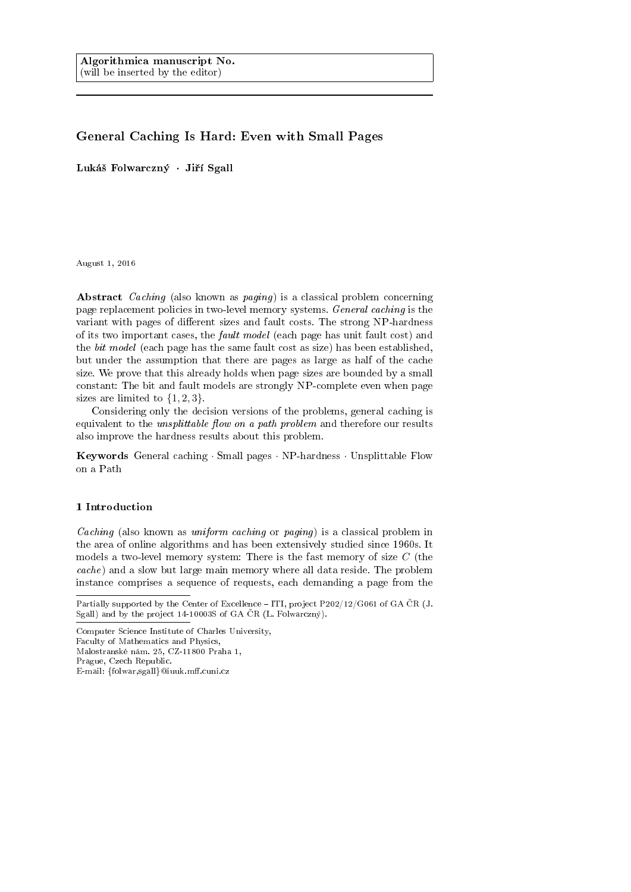# General Caching Is Hard: Even with Small Pages

Lukáš Folwarczný · Jiří Sgall

August 1, 2016

Abstract Caching (also known as paging) is a classical problem concerning page replacement policies in two-level memory systems. General caching is the variant with pages of different sizes and fault costs. The strong NP-hardness of its two important cases, the fault model (each page has unit fault cost) and the bit model (each page has the same fault cost as size) has been established, but under the assumption that there are pages as large as half of the cache size. We prove that this already holds when page sizes are bounded by a small constant: The bit and fault models are strongly NP-complete even when page sizes are limited to  $\{1, 2, 3\}$ .

Considering only the decision versions of the problems, general caching is equivalent to the *unsplittable flow on a path problem* and therefore our results also improve the hardness results about this problem.

Keywords General caching · Small pages · NP-hardness · Unsplittable Flow on a Path

## 1 Introduction

Caching (also known as uniform caching or paging) is a classical problem in the area of online algorithms and has been extensively studied since 1960s. It models a two-level memory system: There is the fast memory of size C (the cache) and a slow but large main memory where all data reside. The problem instance comprises a sequence of requests, each demanding a page from the

Partially supported by the Center of Excellence – ITI, project  $P202/12/G061$  of GA ČR (J. Sgall) and by the project  $14-10003S$  of GA CR (L. Folwarczný).

Computer Science Institute of Charles University, Faculty of Mathematics and Physics, Malostranské nám. 25, CZ-11800 Praha 1, Prague, Czech Republic.

E-mail: {folwar,sgall}@iuuk.mff.cuni.cz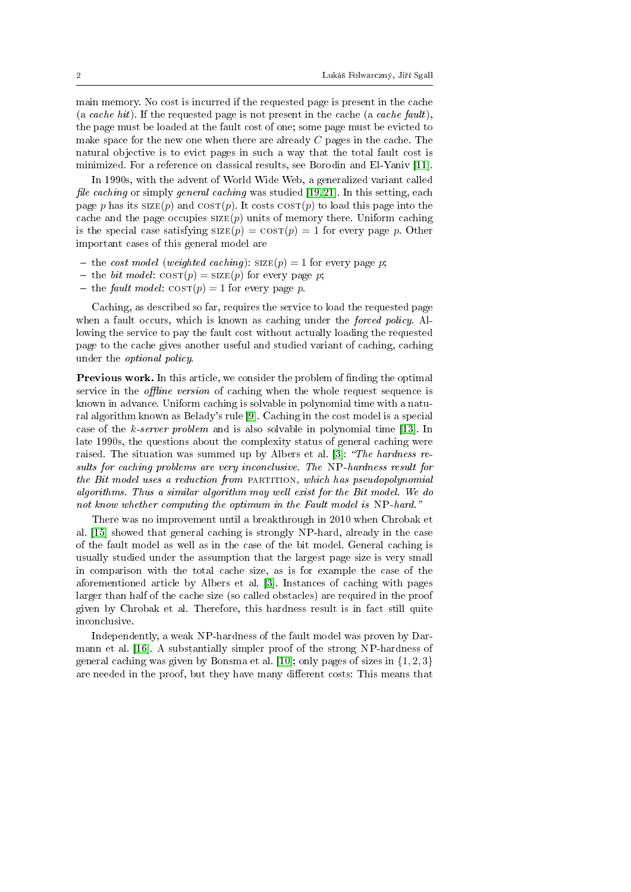main memory. No cost is incurred if the requested page is present in the cache (a cache hit). If the requested page is not present in the cache (a cache fault), the page must be loaded at the fault cost of one; some page must be evicted to make space for the new one when there are already C pages in the cache. The natural objective is to evict pages in such a way that the total fault cost is minimized. For a reference on classical results, see Borodin and El-Yaniv [\[11\]](#page-16-0).

In 1990s, with the advent of World Wide Web, a generalized variant called file caching or simply general caching was studied [\[19,](#page-17-0) [21\]](#page-17-1). In this setting, each page p has its  $SIZE(p)$  and  $COST(p)$ . It costs  $COST(p)$  to load this page into the cache and the page occupies  $\text{SIZE}(p)$  units of memory there. Uniform caching is the special case satisfying  $SIZE(p) = COST(p) = 1$  for every page p. Other important cases of this general model are

- the cost model (weighted caching):  $SIZE(p) = 1$  for every page p;
- the bit model:  $\cos(\mathbf{p}) = \text{size}(p)$  for every page p;
- the fault model:  $\cos(\mathbf{p}) = 1$  for every page p.

Caching, as described so far, requires the service to load the requested page when a fault occurs, which is known as caching under the *forced policy*. Allowing the service to pay the fault cost without actually loading the requested page to the cache gives another useful and studied variant of caching, caching under the optional policy.

Previous work. In this article, we consider the problem of finding the optimal service in the *offline version* of caching when the whole request sequence is known in advance. Uniform caching is solvable in polynomial time with a natural algorithm known as Belady's rule [\[9\]](#page-16-1). Caching in the cost model is a special case of the k-server problem and is also solvable in polynomial time [\[13\]](#page-17-2). In late 1990s, the questions about the complexity status of general caching were raised. The situation was summed up by Albers et al. [\[3\]](#page-16-2): "The hardness results for caching problems are very inconclusive. The NP-hardness result for the Bit model uses a reduction from PARTITION, which has pseudopolynomial algorithms. Thus a similar algorithm may well exist for the Bit model. We do not know whether computing the optimum in the Fault model is NP-hard."

There was no improvement until a breakthrough in 2010 when Chrobak et al. [\[15\]](#page-17-3) showed that general caching is strongly NP-hard, already in the case of the fault model as well as in the case of the bit model. General caching is usually studied under the assumption that the largest page size is very small in comparison with the total cache size, as is for example the case of the aforementioned article by Albers et al. [\[3\]](#page-16-2). Instances of caching with pages larger than half of the cache size (so called obstacles) are required in the proof given by Chrobak et al. Therefore, this hardness result is in fact still quite inconclusive.

Independently, a weak NP-hardness of the fault model was proven by Darmann et al. [\[16\]](#page-17-4). A substantially simpler proof of the strong NP-hardness of general caching was given by Bonsma et al. [\[10\]](#page-16-3); only pages of sizes in  $\{1, 2, 3\}$ are needed in the proof, but they have many different costs: This means that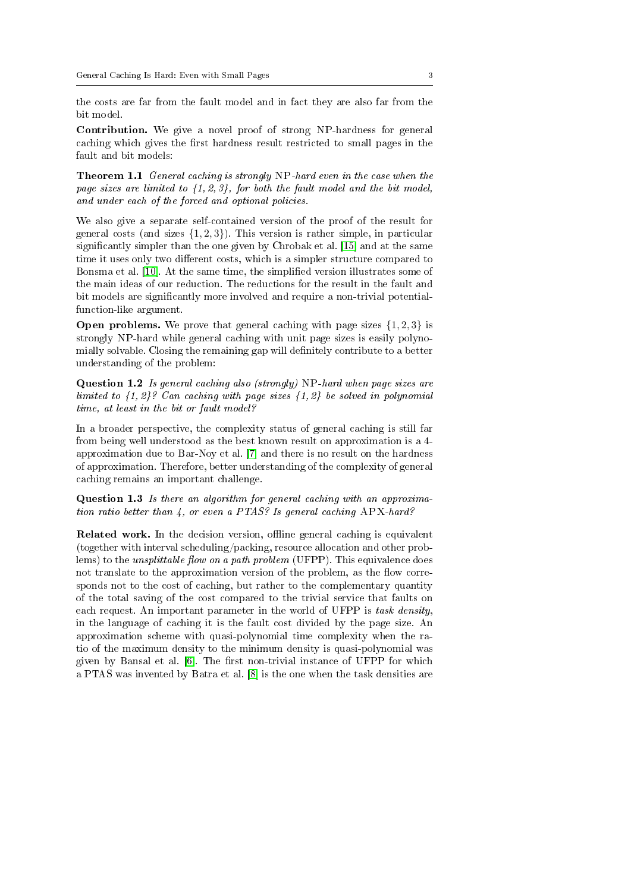the costs are far from the fault model and in fact they are also far from the bit model.

Contribution. We give a novel proof of strong NP-hardness for general caching which gives the first hardness result restricted to small pages in the fault and bit models:

Theorem 1.1 General caching is strongly NP-hard even in the case when the page sizes are limited to  $\{1, 2, 3\}$ , for both the fault model and the bit model, and under each of the forced and optional policies.

We also give a separate self-contained version of the proof of the result for general costs (and sizes  $\{1, 2, 3\}$ ). This version is rather simple, in particular signicantly simpler than the one given by Chrobak et al. [\[15\]](#page-17-3) and at the same time it uses only two different costs, which is a simpler structure compared to Bonsma et al. [\[10\]](#page-16-3). At the same time, the simplied version illustrates some of the main ideas of our reduction. The reductions for the result in the fault and bit models are significantly more involved and require a non-trivial potentialfunction-like argument.

**Open problems.** We prove that general caching with page sizes  $\{1, 2, 3\}$  is strongly NP-hard while general caching with unit page sizes is easily polynomially solvable. Closing the remaining gap will definitely contribute to a better understanding of the problem:

Question 1.2 Is general caching also (strongly) NP-hard when page sizes are limited to  $\{1, 2\}$ ? Can caching with page sizes  $\{1, 2\}$  be solved in polynomial time, at least in the bit or fault model?

In a broader perspective, the complexity status of general caching is still far from being well understood as the best known result on approximation is a 4 approximation due to Bar-Noy et al. [\[7\]](#page-16-4) and there is no result on the hardness of approximation. Therefore, better understanding of the complexity of general caching remains an important challenge.

Question 1.3 Is there an algorithm for general caching with an approximation ratio better than 4, or even a PTAS? Is general caching APX-hard?

Related work. In the decision version, offline general caching is equivalent (together with interval scheduling/packing, resource allocation and other problems) to the *unsplittable flow on a path problem* (UFPP). This equivalence does not translate to the approximation version of the problem, as the flow corresponds not to the cost of caching, but rather to the complementary quantity of the total saving of the cost compared to the trivial service that faults on each request. An important parameter in the world of UFPP is task density, in the language of caching it is the fault cost divided by the page size. An approximation scheme with quasi-polynomial time complexity when the ratio of the maximum density to the minimum density is quasi-polynomial was given by Bansal et al.  $[6]$ . The first non-trivial instance of UFPP for which a PTAS was invented by Batra et al. [\[8\]](#page-16-6) is the one when the task densities are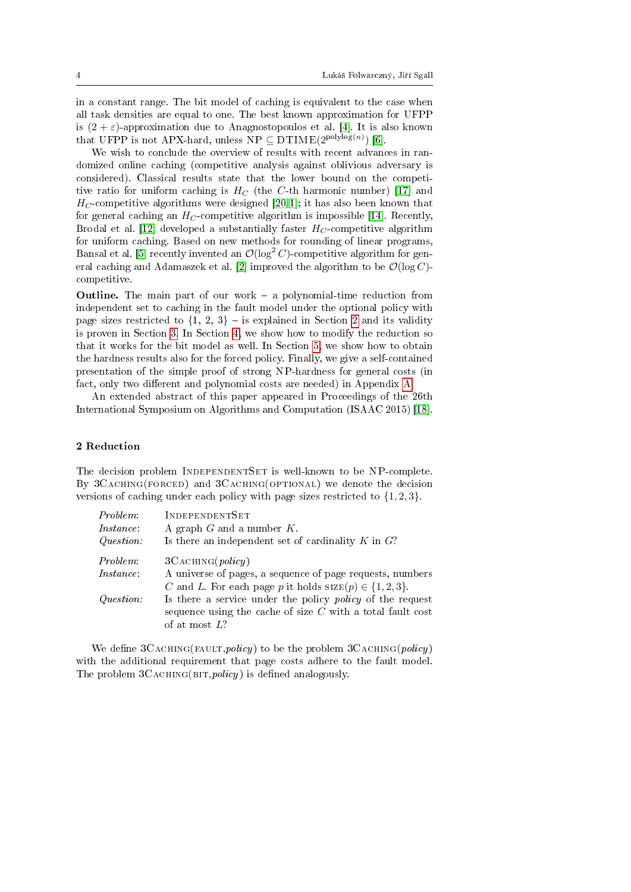in a constant range. The bit model of caching is equivalent to the case when all task densities are equal to one. The best known approximation for UFPP is  $(2 + \varepsilon)$ -approximation due to Anagnostopoulos et al. [\[4\]](#page-16-7). It is also known that UFPP is not APX-hard, unless  $NP \subseteq DTIME(2^{polylog(n)})$  [\[6\]](#page-16-5).

We wish to conclude the overview of results with recent advances in randomized online caching (competitive analysis against oblivious adversary is considered). Classical results state that the lower bound on the competitive ratio for uniform caching is  $H_C$  (the C-th harmonic number) [\[17\]](#page-17-5) and  $H_C$ -competitive algorithms were designed [\[20,](#page-17-6)1]; it has also been known that for general caching an  $H_C$ -competitive algorithm is impossible [\[14\]](#page-17-7). Recently, Brodal et al. [\[12\]](#page-16-9) developed a substantially faster  $H_C$ -competitive algorithm for uniform caching. Based on new methods for rounding of linear programs, Bansal et al. [\[5\]](#page-16-10) recently invented an  $\mathcal{O}(\log^2 C)$ -competitive algorithm for gen-eral caching and Adamaszek et al. [\[2\]](#page-16-11) improved the algorithm to be  $\mathcal{O}(\log C)$ competitive.

**Outline.** The main part of our work  $-$  a polynomial-time reduction from independent set to caching in the fault model under the optional policy with page sizes restricted to  $\{1, 2, 3\}$  $\{1, 2, 3\}$  $\{1, 2, 3\}$  – is explained in Section 2 and its validity is proven in Section [3.](#page-8-0) In Section [4,](#page-13-0) we show how to modify the reduction so that it works for the bit model as well. In Section [5,](#page-15-0) we show how to obtain the hardness results also for the forced policy. Finally, we give a self-contained presentation of the simple proof of strong NP-hardness for general costs (in fact, only two different and polynomial costs are needed) in Appendix [A.](#page-18-0)

An extended abstract of this paper appeared in Proceedings of the 26th International Symposium on Algorithms and Computation (ISAAC 2015) [\[18\]](#page-17-8).

## <span id="page-3-0"></span>2 Reduction

The decision problem INDEPENDENTSET is well-known to be NP-complete. By 3CACHING(FORCED) and 3CACHING(OPTIONAL) we denote the decision versions of caching under each policy with page sizes restricted to  $\{1, 2, 3\}$ .

| Problem:  | INDEPENDENTSET                                                   |
|-----------|------------------------------------------------------------------|
| Instance. | A graph $G$ and a number $K$ .                                   |
| Question: | Is there an independent set of cardinality $K$ in $G$ ?          |
| Problem:  | 3CACHING(policy)                                                 |
| Instance. | A universe of pages, a sequence of page requests, numbers        |
|           | C and L. For each page p it holds $size(p) \in \{1,2,3\}.$       |
| Question: | Is there a service under the policy <i>policy</i> of the request |
|           | sequence using the cache of size $C$ with a total fault cost     |
|           | of at most $L?$                                                  |

We define  $3C$ ACHING(FAULT, policy) to be the problem  $3C$ ACHING(policy) with the additional requirement that page costs adhere to the fault model. The problem  $3C$ ACHING(BIT, *policy*) is defined analogously.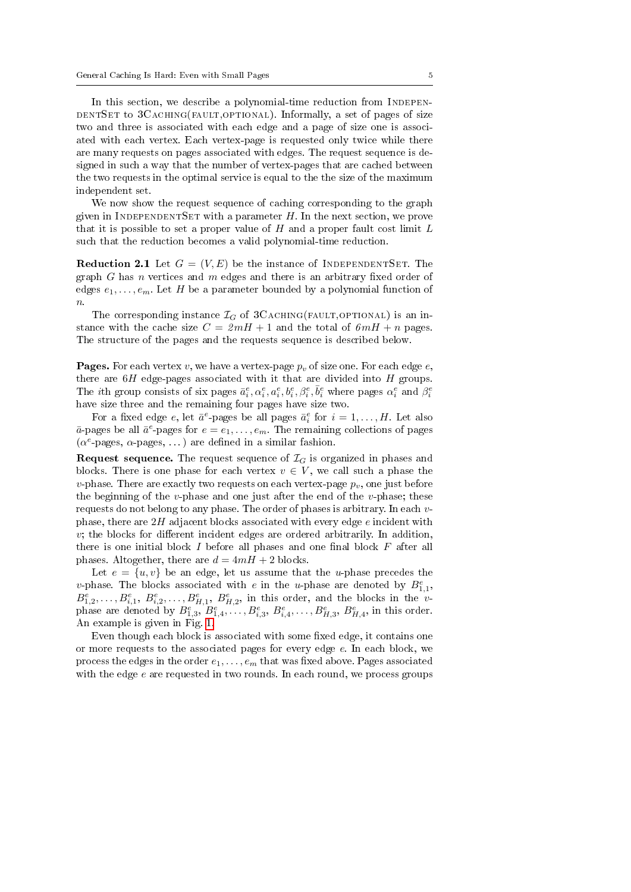In this section, we describe a polynomial-time reduction from INDEPEN-DENTSET to 3CACHING(FAULT, OPTIONAL). Informally, a set of pages of size two and three is associated with each edge and a page of size one is associated with each vertex. Each vertex-page is requested only twice while there are many requests on pages associated with edges. The request sequence is designed in such a way that the number of vertex-pages that are cached between the two requests in the optimal service is equal to the the size of the maximum independent set.

We now show the request sequence of caching corresponding to the graph given in INDEPENDENTSET with a parameter  $H$ . In the next section, we prove that it is possible to set a proper value of  $H$  and a proper fault cost limit  $L$ such that the reduction becomes a valid polynomial-time reduction.

<span id="page-4-0"></span>**Reduction 2.1** Let  $G = (V, E)$  be the instance of INDEPENDENTSET. The graph G has n vertices and  $m$  edges and there is an arbitrary fixed order of edges  $e_1, \ldots, e_m$ . Let H be a parameter bounded by a polynomial function of  $\boldsymbol{n}.$ 

The corresponding instance  $\mathcal{I}_G$  of 3CACHING(FAULT,OPTIONAL) is an instance with the cache size  $C = 2mH + 1$  and the total of  $6mH + n$  pages. The structure of the pages and the requests sequence is described below.

**Pages.** For each vertex v, we have a vertex-page  $p<sub>v</sub>$  of size one. For each edge e, there are  $6H$  edge-pages associated with it that are divided into  $H$  groups. The *i*th group consists of six pages  $\bar{a}_i^e, \alpha_i^e, a_i^e, b_i^e, \beta_i^e, \bar{b}_i^e$  where pages  $\alpha_i^e$  and  $\beta_i^e$ have size three and the remaining four pages have size two.

For a fixed edge  $e$ , let  $\bar{a}^e$ -pages be all pages  $\bar{a}_i^e$  for  $i = 1, ..., H$ . Let also  $\bar{a}$ -pages be all  $\bar{a}^e$ -pages for  $e = e_1, \ldots, e_m$ . The remaining collections of pages  $(\alpha^e$ -pages,  $\alpha$ -pages, ...) are defined in a similar fashion.

**Request sequence.** The request sequence of  $\mathcal{I}_G$  is organized in phases and blocks. There is one phase for each vertex  $v \in V$ , we call such a phase the v-phase. There are exactly two requests on each vertex-page  $p<sub>v</sub>$ , one just before the beginning of the v-phase and one just after the end of the v-phase; these requests do not belong to any phase. The order of phases is arbitrary. In each vphase, there are  $2H$  adjacent blocks associated with every edge e incident with  $v$ ; the blocks for different incident edges are ordered arbitrarily. In addition, there is one initial block  $I$  before all phases and one final block  $F$  after all phases. Altogether, there are  $d = 4mH + 2$  blocks.

Let  $e = \{u, v\}$  be an edge, let us assume that the *u*-phase precedes the v-phase. The blocks associated with e in the u-phase are denoted by  $B_{1,1}^e$ ,  $B_{1,2}^e, \ldots, B_{i,1}^e, B_{i,2}^e, \ldots, B_{H,1}^e, B_{H,2}^e,$  in this order, and the blocks in the vphase are denoted by  $B_{1,3}^e, B_{1,4}^e, \ldots, B_{i,3}^e, B_{i,4}^e, \ldots, B_{H,3}^e, B_{H,4}^e$ , in this order. An example is given in Fig. [1.](#page-5-0)

Even though each block is associated with some fixed edge, it contains one or more requests to the associated pages for every edge e. In each block, we process the edges in the order  $e_1, \ldots, e_m$  that was fixed above. Pages associated with the edge  $e$  are requested in two rounds. In each round, we process groups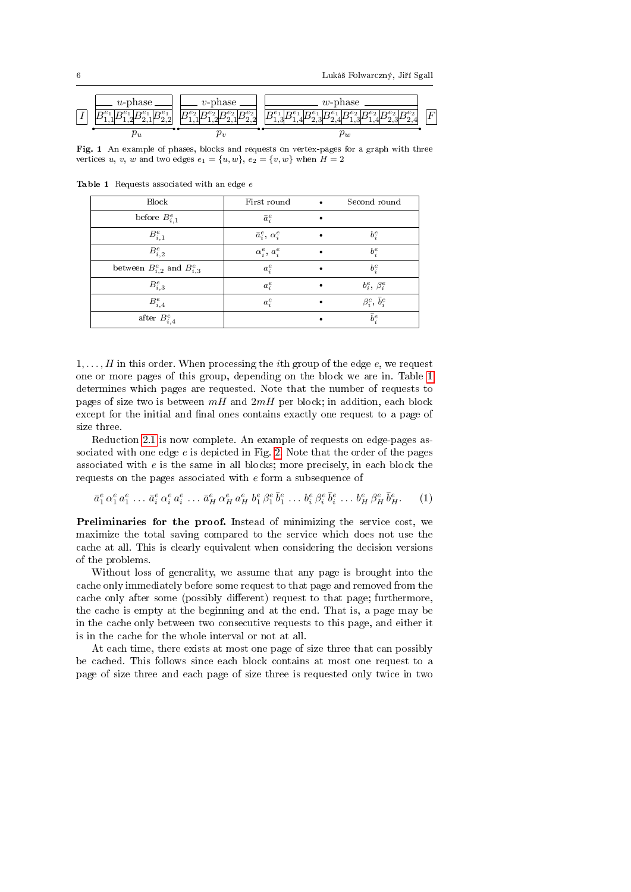

<span id="page-5-0"></span>Fig. 1 An example of phases, blocks and requests on vertex-pages for a graph with three vertices u, v, w and two edges  $e_1 = \{u, w\}$ ,  $e_2 = \{v, w\}$  when  $H = 2$ 

<span id="page-5-1"></span>

| Block                               | First round               | $\bullet$ | Second round                |
|-------------------------------------|---------------------------|-----------|-----------------------------|
| before $B_{i,1}^e$                  | $\bar{a}_i^e$             |           |                             |
| $B^e_{i,1}$                         | $\bar{a}_i^e, \alpha_i^e$ |           | $b_i^e$                     |
| $B^e_{i,2}$                         | $\alpha_i^e, a_i^e$       |           | $b_i^e$                     |
| between $B_{i,2}^e$ and $B_{i,3}^e$ | $a_i^e$                   |           | $b_i^e$                     |
| $B^e_{i,3}$                         | $a_i^e$                   |           | $b_i^e, \beta_i^e$          |
| $B^e_{i,4}$                         | $a_i^e$                   |           | $\beta_i^e, \, \bar{b}_i^e$ |
| after $B^e_{i,4}$                   |                           |           | $\bar{b}_i^e$               |

 $1, \ldots, H$  in this order. When processing the *i*th group of the edge  $e$ , we request one or more pages of this group, depending on the block we are in. Table [1](#page-5-1) determines which pages are requested. Note that the number of requests to pages of size two is between  $mH$  and  $2mH$  per block; in addition, each block except for the initial and final ones contains exactly one request to a page of size three.

Reduction [2.1](#page-4-0) is now complete. An example of requests on edge-pages associated with one edge  $e$  is depicted in Fig. [2.](#page-6-0) Note that the order of the pages associated with  $e$  is the same in all blocks; more precisely, in each block the requests on the pages associated with e form a subsequence of

<span id="page-5-2"></span>
$$
\bar{a}_1^e \alpha_1^e a_1^e \dots \bar{a}_i^e \alpha_i^e a_i^e \dots \bar{a}_H^e \alpha_H^e a_H^e b_1^e \beta_1^e \bar{b}_1^e \dots b_i^e \beta_i^e \bar{b}_i^e \dots b_H^e \beta_H^e \bar{b}_H^e.
$$
 (1)

Preliminaries for the proof. Instead of minimizing the service cost, we maximize the total saving compared to the service which does not use the cache at all. This is clearly equivalent when considering the decision versions of the problems.

Without loss of generality, we assume that any page is brought into the cache only immediately before some request to that page and removed from the cache only after some (possibly different) request to that page; furthermore, the cache is empty at the beginning and at the end. That is, a page may be in the cache only between two consecutive requests to this page, and either it is in the cache for the whole interval or not at all.

At each time, there exists at most one page of size three that can possibly be cached. This follows since each block contains at most one request to a page of size three and each page of size three is requested only twice in two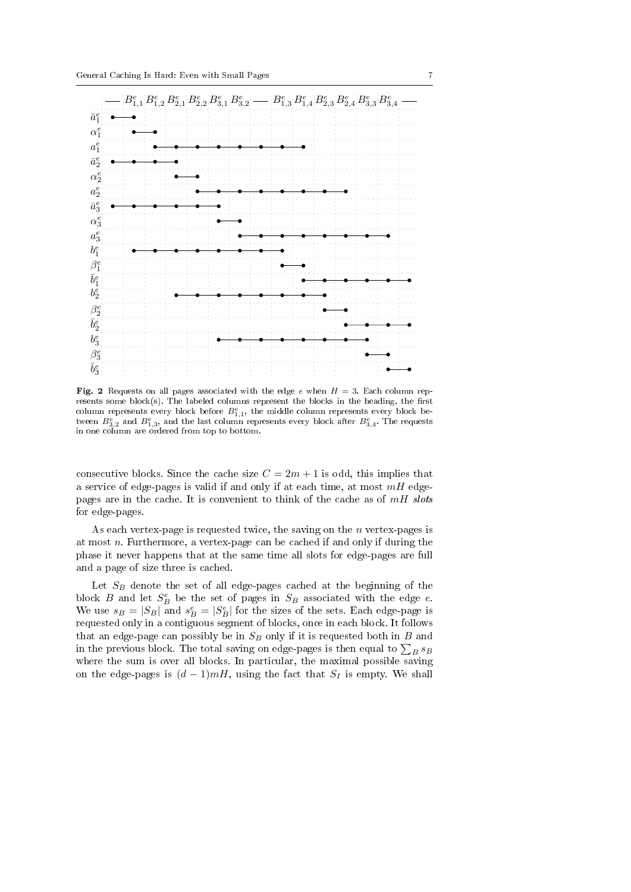

<span id="page-6-0"></span>Fig. 2 Requests on all pages associated with the edge e when  $H = 3$ . Each column represents some block(s). The labeled columns represent the blocks in the heading, the first column represents every block before  $B_{1,1}^e$ , the middle column represents every block between  $B_{3,2}^e$  and  $B_{1,3}^e$ , and the last column represents every block after  $B_{3,4}^e$ . The requests in one column are ordered from top to bottom.

consecutive blocks. Since the cache size  $C = 2m + 1$  is odd, this implies that a service of edge-pages is valid if and only if at each time, at most  $mH$  edgepages are in the cache. It is convenient to think of the cache as of  $mH$  slots for edge-pages.

As each vertex-page is requested twice, the saving on the  $n$  vertex-pages is at most  $n$ . Furthermore, a vertex-page can be cached if and only if during the phase it never happens that at the same time all slots for edge-pages are full and a page of size three is cached.

Let  $S_B$  denote the set of all edge-pages cached at the beginning of the block  $B$  and let  $S_B^e$  be the set of pages in  $S_B$  associated with the edge  $e$ . We use  $s_B = |S_B|$  and  $s_B^e = |S_B^e|$  for the sizes of the sets. Each edge-page is requested only in a contiguous segment of blocks, once in each block. It follows that an edge-page can possibly be in  $S_B$  only if it is requested both in  $B$  and in the previous block. The total saving on edge-pages is then equal to  $\sum_B s_B$ where the sum is over all blocks. In particular, the maximal possible saving on the edge-pages is  $(d-1)mH$ , using the fact that  $S_I$  is empty. We shall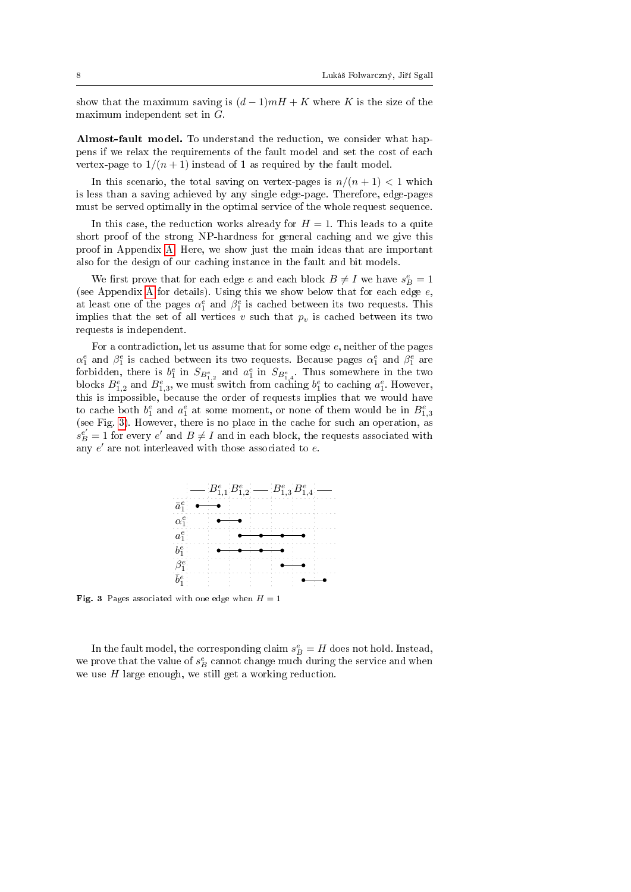show that the maximum saving is  $(d-1)mH + K$  where K is the size of the maximum independent set in G.

Almost-fault model. To understand the reduction, we consider what happens if we relax the requirements of the fault model and set the cost of each vertex-page to  $1/(n+1)$  instead of 1 as required by the fault model.

In this scenario, the total saving on vertex-pages is  $n/(n+1) < 1$  which is less than a saving achieved by any single edge-page. Therefore, edge-pages must be served optimally in the optimal service of the whole request sequence.

In this case, the reduction works already for  $H = 1$ . This leads to a quite short proof of the strong NP-hardness for general caching and we give this proof in Appendix [A.](#page-18-0) Here, we show just the main ideas that are important also for the design of our caching instance in the fault and bit models.

We first prove that for each edge  $e$  and each block  $B\neq I$  we have  $s_B^e=1$ (see [A](#page-18-0)ppendix A for details). Using this we show below that for each edge  $e$ , at least one of the pages  $\alpha_1^e$  and  $\beta_1^e$  is cached between its two requests. This implies that the set of all vertices v such that  $p_v$  is cached between its two requests is independent.

For a contradiction, let us assume that for some edge e, neither of the pages  $\alpha_1^e$  and  $\beta_1^e$  is cached between its two requests. Because pages  $\alpha_1^e$  and  $\beta_1^e$  are forbidden, there is  $b_1^e$  in  $S_{B_{1,2}^e}$  and  $a_1^e$  in  $S_{B_{1,4}^e}$ . Thus somewhere in the two blocks  $B_{1,2}^e$  and  $B_{1,3}^e$ , we must switch from caching  $b_1^e$  to caching  $a_1^e$ . However, this is impossible, because the order of requests implies that we would have to cache both  $b_1^e$  and  $a_1^e$  at some moment, or none of them would be in  $B_{1,3}^e$ (see Fig. [3\)](#page-7-0). However, there is no place in the cache for such an operation, as  $s_B^{\mathcal{e}'} = 1$  for every  $\mathcal{e}'$  and  $B \neq I$  and in each block, the requests associated with any  $e'$  are not interleaved with those associated to  $e$ .



<span id="page-7-0"></span>**Fig. 3** Pages associated with one edge when  $H = 1$ 

In the fault model, the corresponding claim  $s_B^e = H$  does not hold. Instead, we prove that the value of  $s_B^e$  cannot change much during the service and when we use H large enough, we still get a working reduction.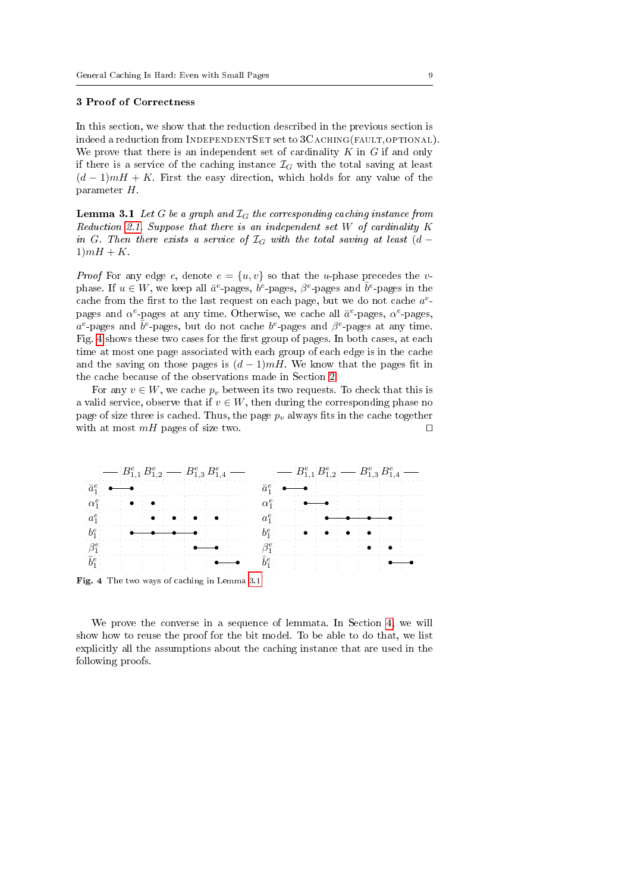#### <span id="page-8-0"></span>3 Proof of Correctness

In this section, we show that the reduction described in the previous section is indeed a reduction from INDEPENDENTSET set to 3CACHING(FAULT, OPTIONAL). We prove that there is an independent set of cardinality  $K$  in  $G$  if and only if there is a service of the caching instance  $\mathcal{I}_G$  with the total saving at least  $(d-1)mH + K$ . First the easy direction, which holds for any value of the parameter H.

<span id="page-8-2"></span>**Lemma 3.1** Let G be a graph and  $\mathcal{I}_G$  the corresponding caching instance from Reduction [2.1.](#page-4-0) Suppose that there is an independent set  $W$  of cardinality  $K$ in G. Then there exists a service of  $\mathcal{I}_G$  with the total saving at least  $(d 1)mH + K$ .

*Proof* For any edge e, denote  $e = \{u, v\}$  so that the *u*-phase precedes the *v*phase. If  $u \in W$ , we keep all  $\bar{a}^e$ -pages,  $b^e$ -pages,  $\beta^e$ -pages and  $\bar{b}^e$ -pages in the cache from the first to the last request on each page, but we do not cache  $a^e$ pages and  $\alpha^e$ -pages at any time. Otherwise, we cache all  $\bar{a}^e$ -pages,  $\alpha^e$ -pages,  $a^e$ -pages and  $\bar{b}^e$ -pages, but do not cache  $b^e$ -pages and  $\beta^e$ -pages at any time. Fig. [4](#page-8-1) shows these two cases for the first group of pages. In both cases, at each time at most one page associated with each group of each edge is in the cache and the saving on those pages is  $(d-1)mH$ . We know that the pages fit in the cache because of the observations made in Section [2.](#page-3-0)

For any  $v \in W$ , we cache  $p_v$  between its two requests. To check that this is a valid service, observe that if  $v \in W$ , then during the corresponding phase no page of size three is cached. Thus, the page  $p<sub>v</sub>$  always fits in the cache together with at most  $mH$  pages of size two.  $\Box$ 



<span id="page-8-1"></span>Fig. 4 The two ways of caching in Lemma [3.1](#page-8-2)

<span id="page-8-3"></span>We prove the converse in a sequence of lemmata. In Section [4,](#page-13-0) we will show how to reuse the proof for the bit model. To be able to do that, we list explicitly all the assumptions about the caching instance that are used in the following proofs.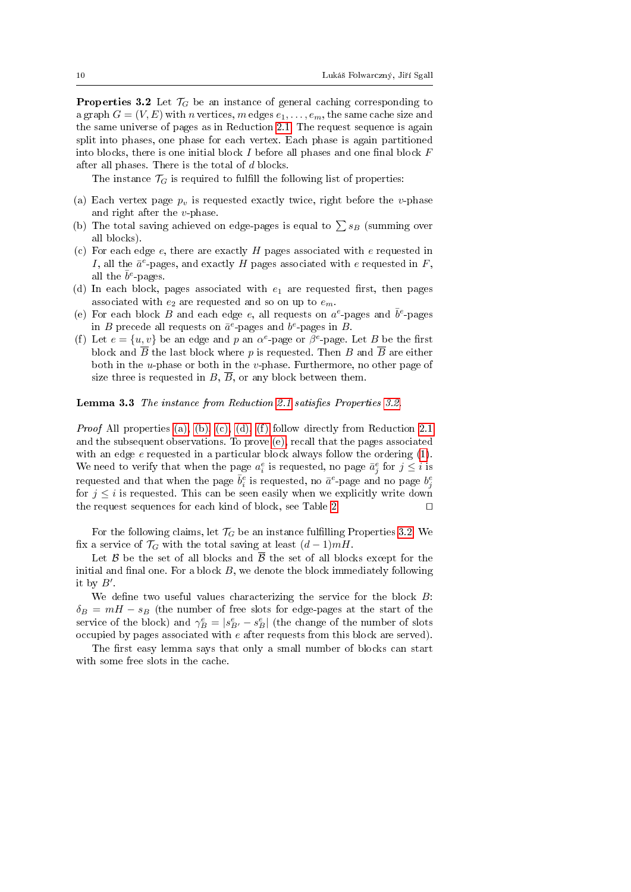**Properties 3.2** Let  $\mathcal{T}_G$  be an instance of general caching corresponding to a graph  $G = (V, E)$  with n vertices, m edges  $e_1, \ldots, e_m$ , the same cache size and the same universe of pages as in Reduction [2.1.](#page-4-0) The request sequence is again split into phases, one phase for each vertex. Each phase is again partitioned into blocks, there is one initial block  $I$  before all phases and one final block  $F$ after all phases. There is the total of d blocks.

The instance  $\mathcal{T}_G$  is required to fulfill the following list of properties:

- <span id="page-9-0"></span>(a) Each vertex page  $p_v$  is requested exactly twice, right before the v-phase and right after the  $v$ -phase.
- <span id="page-9-1"></span>(b) The total saving achieved on edge-pages is equal to  $\sum s_B$  (summing over all blocks).
- <span id="page-9-2"></span>(c) For each edge  $e$ , there are exactly H pages associated with e requested in I, all the  $\bar{a}^e$ -pages, and exactly H pages associated with e requested in F, all the  $\bar b^e\text{-pages}.$
- <span id="page-9-3"></span>(d) In each block, pages associated with  $e_1$  are requested first, then pages associated with  $e_2$  are requested and so on up to  $e_m$ .
- <span id="page-9-5"></span>(e) For each block B and each edge e, all requests on  $a^e$ -pages and  $\bar{b}^e$ -pages in B precede all requests on  $\bar{a}^e$ -pages and  $b^e$ -pages in B.
- <span id="page-9-4"></span>(f) Let  $e = \{u, v\}$  be an edge and p an  $\alpha^e$ -page or  $\beta^e$ -page. Let B be the first block and  $\overline{B}$  the last block where p is requested. Then B and  $\overline{B}$  are either both in the *u*-phase or both in the *v*-phase. Furthermore, no other page of size three is requested in B,  $\overline{B}$ , or any block between them.

#### <span id="page-9-7"></span>Lemma 3.3 The instance from Reduction [2.1](#page-4-0) satisfies Properties 3.2

Proof All properties [\(a\),](#page-9-0) [\(b\),](#page-9-1) [\(c\),](#page-9-2) [\(d\),](#page-9-3) [\(f\)](#page-9-4) follow directly from Reduction [2.1](#page-4-0) and the subsequent observations. To prove [\(e\),](#page-9-5) recall that the pages associated with an edge  $e$  requested in a particular block always follow the ordering  $(1)$ . We need to verify that when the page  $a_i^e$  is requested, no page  $\bar{a}_j^e$  for  $j \leq i$  is requested and that when the page  $\bar{b}^e_i$  is requested, no  $\bar{a}^e$ -page and no page  $b^e_j$ for  $j \leq i$  is requested. This can be seen easily when we explicitly write down the request sequences for each kind of block, see Table [2.](#page-10-0)  $\Box$ 

For the following claims, let  $\mathcal{T}_G$  be an instance fulfilling Properties [3.2.](#page-8-3) We fix a service of  $\mathcal{T}_G$  with the total saving at least  $(d-1)mH$ .

Let  $\beta$  be the set of all blocks and  $\overline{\beta}$  the set of all blocks except for the initial and final one. For a block  $B$ , we denote the block immediately following it by  $B'$ .

We define two useful values characterizing the service for the block  $B$ :  $\delta_B = mH - s_B$  (the number of free slots for edge-pages at the start of the service of the block) and  $\gamma_B^e = |s_{B'}^e - s_B^e|$  (the change of the number of slots occupied by pages associated with e after requests from this block are served).

<span id="page-9-6"></span>The first easy lemma says that only a small number of blocks can start with some free slots in the cache.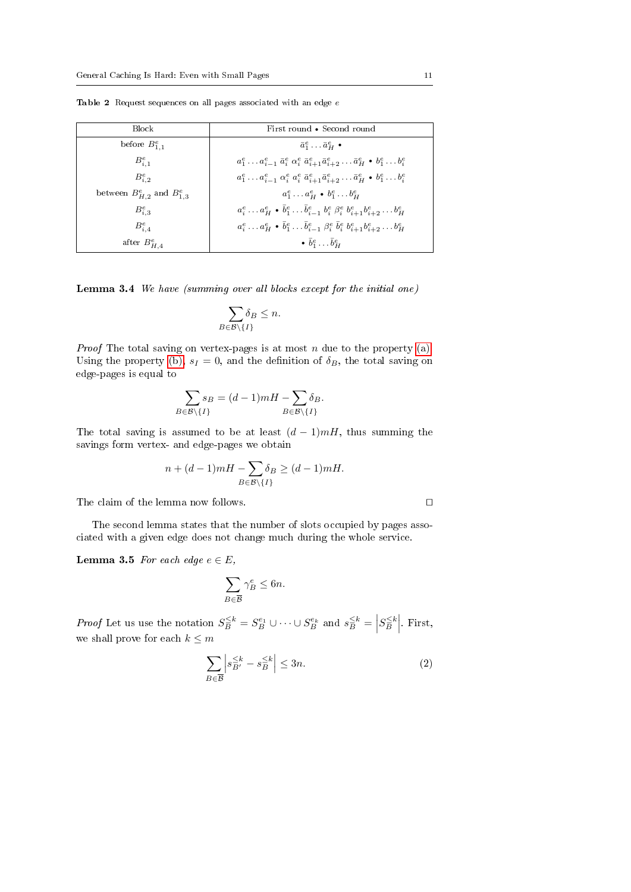| <b>Block</b>                        | First round • Second round                                                                                                                        |
|-------------------------------------|---------------------------------------------------------------------------------------------------------------------------------------------------|
| before $B_{1,1}^e$                  | $\bar{a}^e_1 \ldots \bar{a}^e_{\overline{H}}$ .                                                                                                   |
| $B_{i,1}^e$                         | $a_1^e \ldots a_{i-1}^e \bar{a}_i^e \alpha_i^e \bar{a}_{i+1}^e \bar{a}_{i+2}^e \ldots \bar{a}_H^e \bullet b_1^e \ldots b_i^e$                     |
| $B_{i,2}^e$                         | $a_1^e \ldots a_{i-1}^e \alpha_i^e \overline{a}_i^e \overline{a}_{i+1}^e \overline{a}_{i+2}^e \ldots \overline{a}_H^e \bullet b_1^e \ldots b_i^e$ |
| between $B_{H,2}^e$ and $B_{1,3}^e$ | $a_1^e \ldots a_H^e \bullet b_1^e \ldots b_H^e$                                                                                                   |
| $B_{i}^{e}$                         | $a_i^e \dots a_H^e \bullet \bar{b}_1^e \dots \bar{b}_{i-1}^e b_i^e \beta_i^e b_{i+1}^e b_{i+2}^e \dots b_H^e$                                     |
| $B_{iA}^e$                          | $a_i^e \dots a_H^e \bullet \bar{b}_1^e \dots \bar{b}_{i-1}^e \beta_i^e \bar{b}_i^e b_{i+1}^e b_{i+2}^e \dots b_H^e$                               |
| after $B_{H,4}^e$                   | $\bullet \bar{b}^e_1 \dots \bar{b}^e_{\mu}$                                                                                                       |

<span id="page-10-0"></span>Table 2 Request sequences on all pages associated with an edge  $e$ 

Lemma 3.4 We have (summing over all blocks except for the initial one)

$$
\sum_{B \in \mathcal{B} \setminus \{I\}} \delta_B \le n.
$$

*Proof* The total saving on vertex-pages is at most  $n$  due to the property [\(a\).](#page-9-0) Using the property [\(b\),](#page-9-1)  $s_I = 0$ , and the definition of  $\delta_B$ , the total saving on edge-pages is equal to

$$
\sum_{B \in \mathcal{B} \setminus \{I\}} s_B = (d-1)mH - \sum_{B \in \mathcal{B} \setminus \{I\}} \delta_B.
$$

The total saving is assumed to be at least  $(d-1)mH$ , thus summing the savings form vertex- and edge-pages we obtain

$$
n + (d-1)mH - \sum_{B \in \mathcal{B} \setminus \{I\}} \delta_B \ge (d-1)mH.
$$

The claim of the lemma now follows.  $\Box$ 

The second lemma states that the number of slots occupied by pages associated with a given edge does not change much during the whole service.

<span id="page-10-2"></span>**Lemma 3.5** For each edge  $e \in E$ ,

$$
\sum_{B \in \overline{\mathcal{B}}} \gamma_B^e \le 6n.
$$

*Proof* Let us use the notation  $S_B^{\leq k} = S_B^{e_1} \cup \cdots \cup S_B^{e_k}$  and  $s_B^{\leq k} = |S_B^{\leq k}|$ . First, we shall prove for each  $k \leq m$ 

<span id="page-10-1"></span>
$$
\sum_{B \in \overline{\mathcal{B}}} \left| s_{B'}^{\leq k} - s_B^{\leq k} \right| \leq 3n. \tag{2}
$$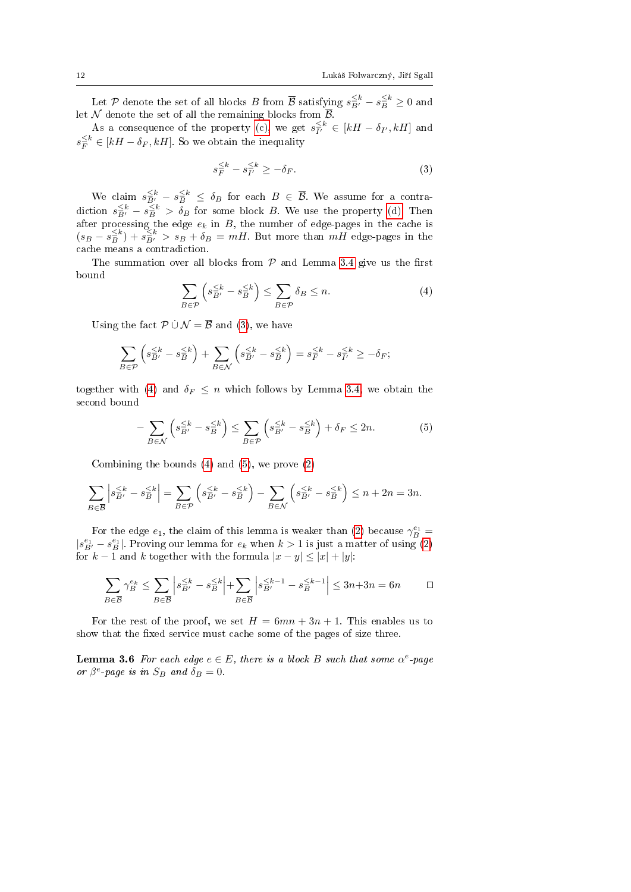Let P denote the set of all blocks B from  $\overline{B}$  satisfying  $s_{\overline{B}'}^{\leq k} - s_{\overline{B}}^{\leq k} \geq 0$  and let  $\mathcal N$  denote the set of all the remaining blocks from  $\mathcal B$ .

As a consequence of the property [\(c\),](#page-9-2) we get  $s_{I'}^{\leq k} \in [kH - \delta_{I'}, kH]$  and  $s_F^{\leq k} \in [kH - \delta_F, kH]$ . So we obtain the inequality

<span id="page-11-0"></span>
$$
s_F^{\leq k} - s_F^{\leq k} \geq -\delta_F. \tag{3}
$$

We claim  $s_{B'}^{\leq k} - s_B^{\leq k} \leq \delta_B$  for each  $B \in \overline{B}$ . We assume for a contradiction  $s_{\overline{B}'}^{\leq k} - s_{\overline{B}}^{\leq k} > \delta_B$  for some block B. We use the property [\(d\).](#page-9-3) Then after processing the edge  $e_k$  in B, the number of edge-pages in the cache is  $(s_B - s_B^{\leq k}) + s_{B'}^{\leq k} > s_B + \delta_B = mH$ . But more than  $mH$  edge-pages in the cache means a contradiction.

The summation over all blocks from  $P$  and Lemma [3.4](#page-9-6) give us the first bound

<span id="page-11-1"></span>
$$
\sum_{B \in \mathcal{P}} \left( s_{B'}^{\leq k} - s_{B}^{\leq k} \right) \leq \sum_{B \in \mathcal{P}} \delta_B \leq n. \tag{4}
$$

Using the fact  $\mathcal{P} \cup \mathcal{N} = \overline{\mathcal{B}}$  and [\(3\)](#page-11-0), we have

$$
\sum_{B \in \mathcal{P}} \left( s_{\overline{B}'}^{\leq k} - s_{\overline{B}}^{\leq k} \right) + \sum_{B \in \mathcal{N}} \left( s_{\overline{B}'}^{\leq k} - s_{\overline{B}}^{\leq k} \right) = s_{\overline{F}}^{\leq k} - s_{\overline{I}'}^{\leq k} \geq -\delta_{F};
$$

together with [\(4\)](#page-11-1) and  $\delta_F \leq n$  which follows by Lemma [3.4,](#page-9-6) we obtain the second bound

<span id="page-11-2"></span>
$$
-\sum_{B\in\mathcal{N}} \left(s_{\overline{B}'}^{\leq k} - s_{\overline{B}}^{\leq k}\right) \leq \sum_{B\in\mathcal{P}} \left(s_{\overline{B}'}^{\leq k} - s_{\overline{B}}^{\leq k}\right) + \delta_F \leq 2n.
$$
 (5)

Combining the bounds [\(4\)](#page-11-1) and [\(5\)](#page-11-2), we prove [\(2\)](#page-10-1)

$$
\sum_{B \in \overline{\mathcal{B}}} \left| s_{B'}^{\leq k} - s_{B}^{\leq k} \right| = \sum_{B \in \mathcal{P}} \left( s_{B'}^{\leq k} - s_{B}^{\leq k} \right) - \sum_{B \in \mathcal{N}} \left( s_{B'}^{\leq k} - s_{B}^{\leq k} \right) \leq n + 2n = 3n.
$$

For the edge  $e_1$ , the claim of this lemma is weaker than [\(2\)](#page-10-1) because  $\gamma_B^{e_1} =$  $|s_{B'}^{e_1} - s_B^{e_1}|$ . Proving our lemma for  $e_k$  when  $k > 1$  is just a matter of using [\(2\)](#page-10-1) for  $k-1$  and k together with the formula  $|x-y| \leq |x| + |y|$ :

$$
\sum_{B \in \overline{\mathcal{B}}} \gamma_B^{e_k} \le \sum_{B \in \overline{\mathcal{B}}} \left| s_{B'}^{\le k} - s_B^{\le k} \right| + \sum_{B \in \overline{\mathcal{B}}} \left| s_{B'}^{\le k-1} - s_B^{\le k-1} \right| \le 3n + 3n = 6n \qquad \Box
$$

For the rest of the proof, we set  $H = 6mn + 3n + 1$ . This enables us to show that the fixed service must cache some of the pages of size three.

<span id="page-11-3"></span>**Lemma 3.6** For each edge  $e \in E$ , there is a block B such that some  $\alpha^e$ -page or  $\beta^e$ -page is in  $S_B$  and  $\delta_B = 0$ .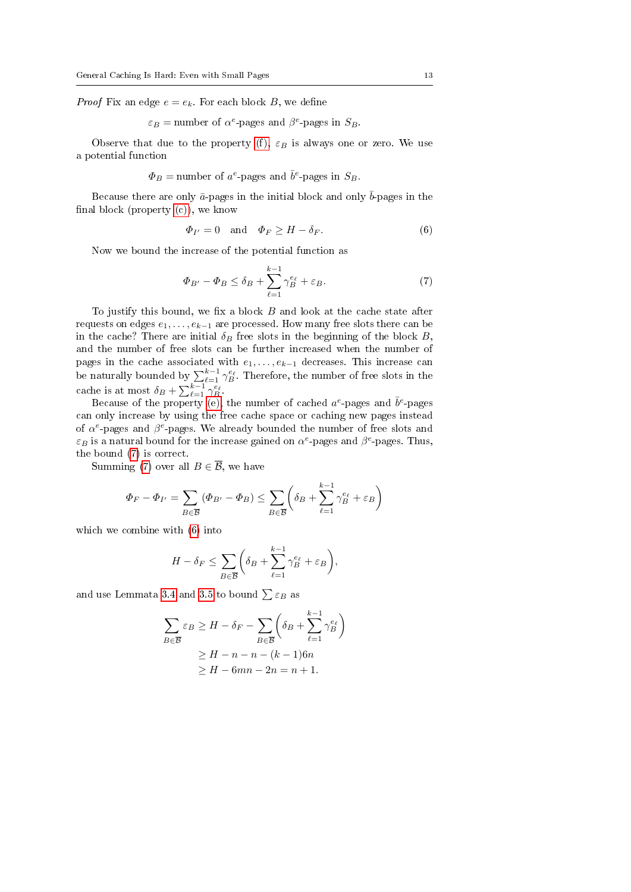*Proof* Fix an edge  $e = e_k$ . For each block B, we define

 $\varepsilon_B$  = number of  $\alpha^e$ -pages and  $\beta^e$ -pages in  $S_B$ .

Observe that due to the property [\(f\),](#page-9-4)  $\varepsilon_B$  is always one or zero. We use a potential function

 $\Phi_B$  = number of  $a^e$ -pages and  $\bar{b}^e$ -pages in  $S_B$ .

Because there are only  $\bar{a}$ -pages in the initial block and only  $\bar{b}$ -pages in the final block (property  $(c)$ ), we know

<span id="page-12-1"></span>
$$
\Phi_{I'} = 0 \quad \text{and} \quad \Phi_F \ge H - \delta_F. \tag{6}
$$

Now we bound the increase of the potential function as

<span id="page-12-0"></span>
$$
\Phi_{B'} - \Phi_B \le \delta_B + \sum_{\ell=1}^{k-1} \gamma_B^{e_\ell} + \varepsilon_B. \tag{7}
$$

To justify this bound, we fix a block  $B$  and look at the cache state after requests on edges  $e_1, \ldots, e_{k-1}$  are processed. How many free slots there can be in the cache? There are initial  $\delta_B$  free slots in the beginning of the block B, and the number of free slots can be further increased when the number of pages in the cache associated with  $e_1, \ldots, e_{k-1}$  decreases. This increase can be naturally bounded by  $\sum_{\ell=1}^{k-1} \gamma_B^{\epsilon_{\ell}}$ . Therefore, the number of free slots in the cache is at most  $\delta_B + \sum_{\ell=1}^{k-1} \gamma_B^{\epsilon_\ell}$ .

Because of the property [\(e\),](#page-9-5) the number of cached  $a^e$ -pages and  $\bar{b}^e$ -pages can only increase by using the free cache space or caching new pages instead of  $\alpha^e$ -pages and  $\beta^e$ -pages. We already bounded the number of free slots and  $\varepsilon_B$  is a natural bound for the increase gained on  $\alpha^e$ -pages and  $\beta^e$ -pages. Thus, the bound [\(7\)](#page-12-0) is correct.

Summing [\(7\)](#page-12-0) over all  $B \in \overline{\mathcal{B}}$ , we have

$$
\Phi_F - \Phi_{I'} = \sum_{B \in \overline{\mathcal{B}}} (\Phi_{B'} - \Phi_B) \le \sum_{B \in \overline{\mathcal{B}}} \left( \delta_B + \sum_{\ell=1}^{k-1} \gamma_B^{e_\ell} + \varepsilon_B \right)
$$

which we combine with [\(6\)](#page-12-1) into

$$
H - \delta_F \le \sum_{B \in \overline{B}} \left( \delta_B + \sum_{\ell=1}^{k-1} \gamma_B^{e_\ell} + \varepsilon_B \right),
$$

and use Lemmata [3.4](#page-9-6) and [3.5](#page-10-2) to bound  $\sum \varepsilon_B$  as

$$
\sum_{B \in \overline{B}} \varepsilon_B \ge H - \delta_F - \sum_{B \in \overline{B}} \left( \delta_B + \sum_{\ell=1}^{k-1} \gamma_B^{e_\ell} \right)
$$
  
 
$$
\ge H - n - n - (k - 1)6n
$$
  
 
$$
\ge H - 6mn - 2n = n + 1.
$$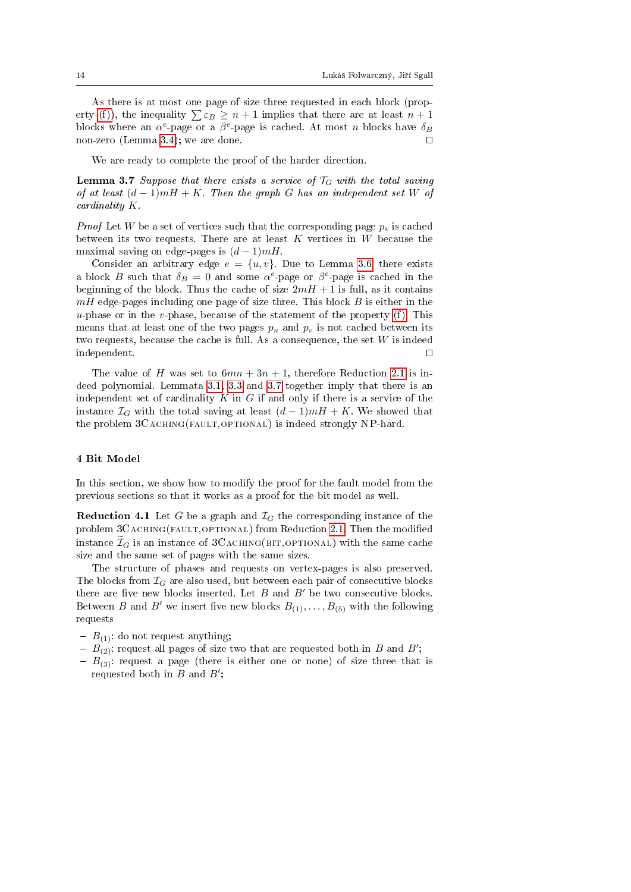As there is at most one page of size three requested in each block (prop-erty [\(f\)\)](#page-9-4), the inequality  $\sum \varepsilon_B \geq n+1$  implies that there are at least  $n+1$ blocks where an  $\alpha^e$ -page or a  $\beta^e$ -page is cached. At most n blocks have  $\delta_B$ non-zero (Lemma [3.4\)](#page-9-6); we are done.  $\square$ 

We are ready to complete the proof of the harder direction.

<span id="page-13-1"></span>**Lemma 3.7** Suppose that there exists a service of  $T_G$  with the total saving of at least  $(d-1)mH + K$ . Then the graph G has an independent set W of cardinality K.

*Proof* Let W be a set of vertices such that the corresponding page  $p_v$  is cached between its two requests. There are at least  $K$  vertices in  $W$  because the maximal saving on edge-pages is  $(d-1)mH$ .

Consider an arbitrary edge  $e = \{u, v\}$ . Due to Lemma [3.6,](#page-11-3) there exists a block B such that  $\delta_B = 0$  and some  $\alpha^e$ -page or  $\beta^e$ -page is cached in the beginning of the block. Thus the cache of size  $2mH + 1$  is full, as it contains  $mH$  edge-pages including one page of size three. This block  $B$  is either in the  $u$ -phase or in the  $v$ -phase, because of the statement of the property [\(f\).](#page-9-4) This means that at least one of the two pages  $p_u$  and  $p_v$  is not cached between its two requests, because the cache is full. As a consequence, the set  $W$  is indeed  $\Box$ independent.  $\Box$ 

The value of H was set to  $6mn + 3n + 1$ , therefore Reduction [2.1](#page-4-0) is indeed polynomial. Lemmata [3.1,](#page-8-2) [3.3](#page-9-7) and [3.7](#page-13-1) together imply that there is an independent set of cardinality  $K$  in  $G$  if and only if there is a service of the instance  $\mathcal{I}_G$  with the total saving at least  $(d-1)mH + K$ . We showed that the problem  $3C$ ACHING(FAULT,OPTIONAL) is indeed strongly NP-hard.

## <span id="page-13-0"></span>4 Bit Model

In this section, we show how to modify the proof for the fault model from the previous sections so that it works as a proof for the bit model as well.

**Reduction 4.1** Let G be a graph and  $\mathcal{I}_G$  the corresponding instance of the problem 3CACHING(FAULT, OPTIONAL) from Reduction [2.1.](#page-4-0) Then the modified instance  $\tilde{\mathcal{I}}_G$  is an instance of 3CACHING(BIT,OPTIONAL) with the same cache size and the same set of pages with the same sizes.

The structure of phases and requests on vertex-pages is also preserved. The blocks from  $\mathcal{I}_G$  are also used, but between each pair of consecutive blocks there are five new blocks inserted. Let  $B$  and  $B'$  be two consecutive blocks. Between B and B' we insert five new blocks  $B_{(1)}, \ldots, B_{(5)}$  with the following requests

- $-B_{(1)}$ : do not request anything;
- $B_{(2)}$ : request all pages of size two that are requested both in B and B';
- $B_{(3)}$ : request a page (there is either one or none) of size three that is requested both in  $B$  and  $B'$ ;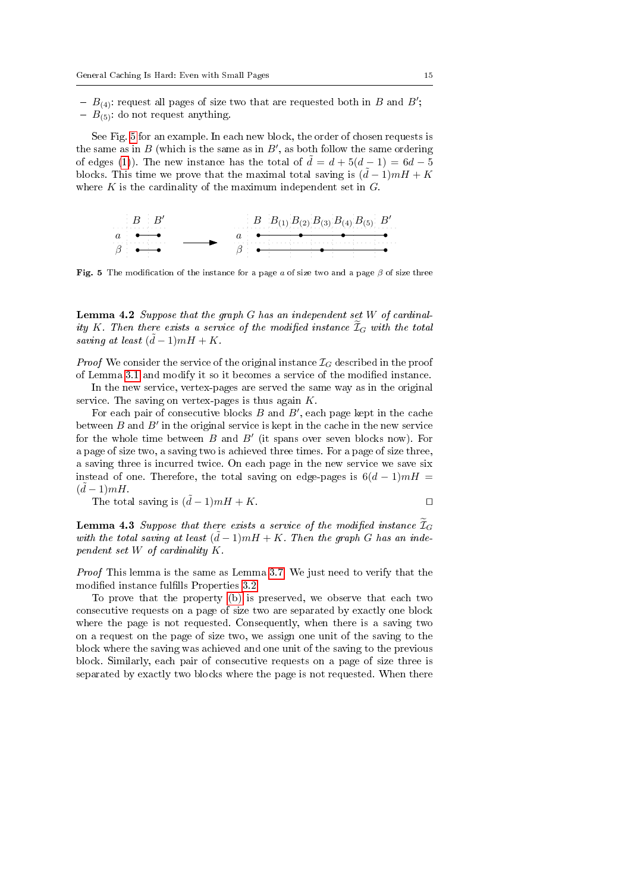- $B_{(4)}$ : request all pages of size two that are requested both in B and B';
- $-B_{(5)}$ : do not request anything.

See Fig. [5](#page-14-0) for an example. In each new block, the order of chosen requests is the same as in  $B$  (which is the same as in  $B^{\prime},$  as both follow the same ordering of edges [\(1\)](#page-5-2)). The new instance has the total of  $\tilde{d} = d + 5(d - 1) = 6d - 5$ blocks. This time we prove that the maximal total saving is  $(\tilde{d} - 1)mH + K$ where  $K$  is the cardinality of the maximum independent set in  $G$ .



<span id="page-14-0"></span>Fig. 5 The modification of the instance for a page a of size two and a page  $\beta$  of size three

<span id="page-14-1"></span>**Lemma 4.2** Suppose that the graph  $G$  has an independent set  $W$  of cardinality K. Then there exists a service of the modified instance  $\widetilde{\mathcal{I}}_G$  with the total saving at least  $(\tilde{d}-1)mH + K$ .

*Proof* We consider the service of the original instance  $\mathcal{I}_G$  described in the proof of Lemma [3.1](#page-8-2) and modify it so it becomes a service of the modified instance.

In the new service, vertex-pages are served the same way as in the original service. The saving on vertex-pages is thus again  $K$ .

For each pair of consecutive blocks  $B$  and  $B'$ , each page kept in the cache between  $B$  and  $B'$  in the original service is kept in the cache in the new service for the whole time between  $B$  and  $B'$  (it spans over seven blocks now). For a page of size two, a saving two is achieved three times. For a page of size three, a saving three is incurred twice. On each page in the new service we save six instead of one. Therefore, the total saving on edge-pages is  $6(d-1)mH =$  $(\tilde{d}-1)mH$ .

The total saving is  $(\tilde{d} - 1)mH + K$ .

$$
\qquad \qquad \Box
$$

<span id="page-14-2"></span>**Lemma 4.3** Suppose that there exists a service of the modified instance  $\mathcal{I}_G$ with the total saving at least  $(\tilde{d} - 1)mH + K$ . Then the graph G has an independent set W of cardinality K.

Proof This lemma is the same as Lemma [3.7.](#page-13-1) We just need to verify that the modified instance fulfills Properties [3.2.](#page-8-3)

To prove that the property [\(b\)](#page-9-1) is preserved, we observe that each two consecutive requests on a page of size two are separated by exactly one block where the page is not requested. Consequently, when there is a saving two on a request on the page of size two, we assign one unit of the saving to the block where the saving was achieved and one unit of the saving to the previous block. Similarly, each pair of consecutive requests on a page of size three is separated by exactly two blocks where the page is not requested. When there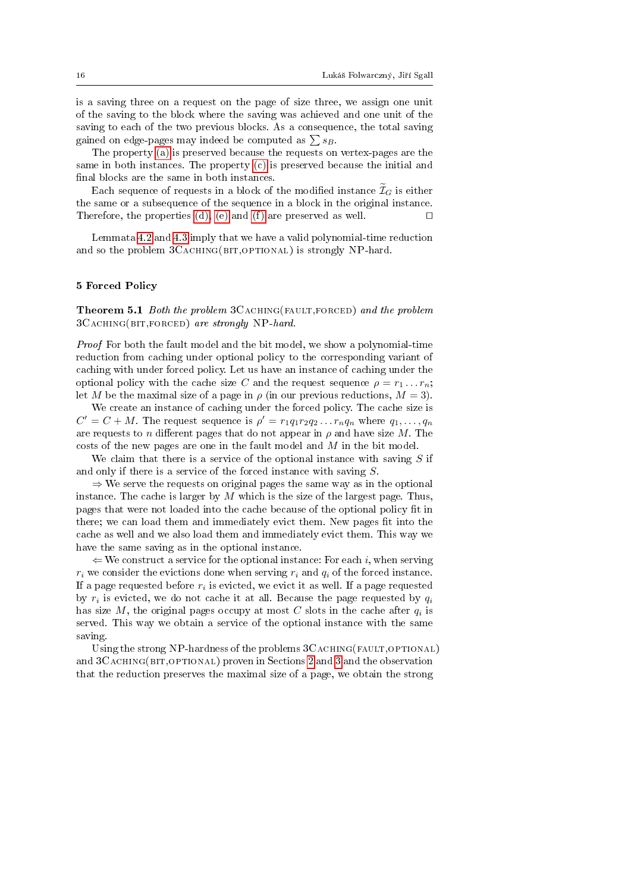is a saving three on a request on the page of size three, we assign one unit of the saving to the block where the saving was achieved and one unit of the saving to each of the two previous blocks. As a consequence, the total saving gained on edge-pages may indeed be computed as  $\sum s_B$ .

The property [\(a\)](#page-9-0) is preserved because the requests on vertex-pages are the same in both instances. The property [\(c\)](#page-9-2) is preserved because the initial and final blocks are the same in both instances.

Each sequence of requests in a block of the modified instance  $\widetilde{\mathcal{I}}_G$  is either the same or a subsequence of the sequence in a block in the original instance. Therefore, the properties [\(d\),](#page-9-3) [\(e\)](#page-9-5) and [\(f\)](#page-9-4) are preserved as well.  $\Box$ 

Lemmata [4.2](#page-14-1) and [4.3](#page-14-2) imply that we have a valid polynomial-time reduction and so the problem  $3C_ACHING(BIT,OPTIONAL)$  is strongly NP-hard.

### <span id="page-15-0"></span>5 Forced Policy

<span id="page-15-1"></span>Theorem 5.1 Both the problem 3CACHING(FAULT,FORCED) and the problem 3CACHING(BIT,FORCED) are strongly NP-hard.

Proof For both the fault model and the bit model, we show a polynomial-time reduction from caching under optional policy to the corresponding variant of caching with under forced policy. Let us have an instance of caching under the optional policy with the cache size C and the request sequence  $\rho = r_1 \dots r_n$ ; let M be the maximal size of a page in  $\rho$  (in our previous reductions,  $M = 3$ ).

We create an instance of caching under the forced policy. The cache size is  $C' = C + M$ . The request sequence is  $\rho' = r_1q_1r_2q_2 \ldots r_nq_n$  where  $q_1, \ldots, q_n$ are requests to n different pages that do not appear in  $\rho$  and have size M. The costs of the new pages are one in the fault model and  $M$  in the bit model.

We claim that there is a service of the optional instance with saving  $S$  if and only if there is a service of the forced instance with saving S.

 $\Rightarrow$  We serve the requests on original pages the same way as in the optional instance. The cache is larger by  $M$  which is the size of the largest page. Thus, pages that were not loaded into the cache because of the optional policy fit in there; we can load them and immediately evict them. New pages fit into the cache as well and we also load them and immediately evict them. This way we have the same saving as in the optional instance.

 $\Leftarrow$  We construct a service for the optional instance: For each i, when serving  $r_i$  we consider the evictions done when serving  $r_i$  and  $q_i$  of the forced instance. If a page requested before  $r_i$  is evicted, we evict it as well. If a page requested by  $r_i$  is evicted, we do not cache it at all. Because the page requested by  $q_i$ has size M, the original pages occupy at most C slots in the cache after  $q_i$  is served. This way we obtain a service of the optional instance with the same saving.

Using the strong NP-hardness of the problems  $3C_A$ CHING(FAULT, OPTIONAL) and  $3C_ACHING(BIT, OPTION AL)$  proven in Sections [2](#page-3-0) and [3](#page-8-0) and the observation that the reduction preserves the maximal size of a page, we obtain the strong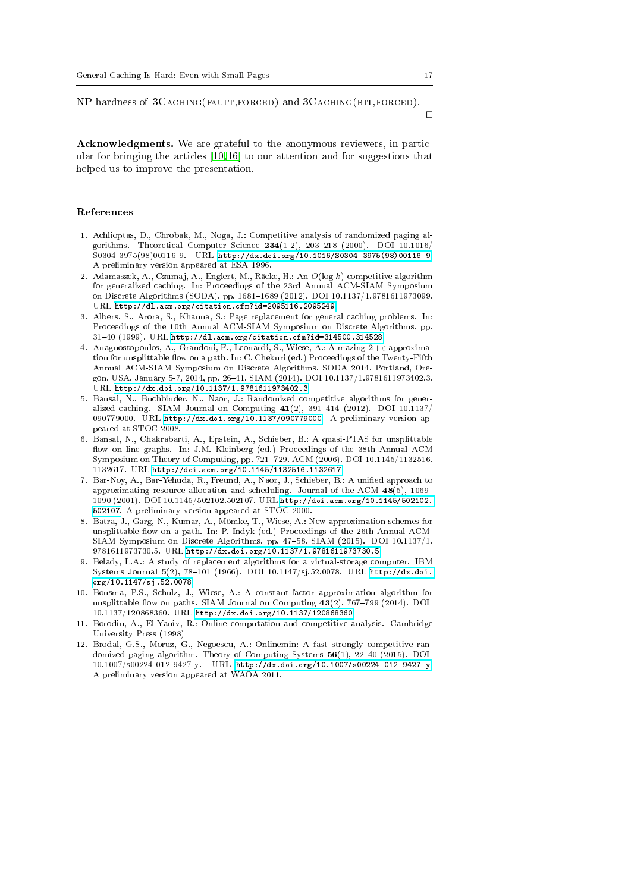NP-hardness of 3Caching(fault,forced) and 3Caching(bit,forced).

Acknowledgments. We are grateful to the anonymous reviewers, in particular for bringing the articles [\[10,](#page-16-3)[16\]](#page-17-4) to our attention and for suggestions that helped us to improve the presentation.

#### References

- <span id="page-16-8"></span>1. Achlioptas, D., Chrobak, M., Noga, J.: Competitive analysis of randomized paging algorithms. Theoretical Computer Science  $234(1-2)$ , 203-218 (2000). DOI 10.1016/ S0304-3975(98)00116-9. URL [http://dx.doi.org/10.1016/S0304-3975\(98\)00116-9.](http://dx.doi.org/10.1016/S0304-3975(98)00116-9) A preliminary version appeared at ESA 1996.
- <span id="page-16-11"></span>2. Adamaszek, A., Czumaj, A., Englert, M., Räcke, H.: An O(log k)-competitive algorithm for generalized caching. In: Proceedings of the 23rd Annual ACM-SIAM Symposium on Discrete Algorithms (SODA), pp. 1681-1689 (2012). DOI 10.1137/1.9781611973099. URL <http://dl.acm.org/citation.cfm?id=2095116.2095249>
- <span id="page-16-2"></span>3. Albers, S., Arora, S., Khanna, S.: Page replacement for general caching problems. In: Proceedings of the 10th Annual ACM-SIAM Symposium on Discrete Algorithms, pp. 3140 (1999). URL <http://dl.acm.org/citation.cfm?id=314500.314528>
- <span id="page-16-7"></span>4. Anagnostopoulos, A., Grandoni, F., Leonardi, S., Wiese, A.: A mazing  $2+\varepsilon$  approximation for unsplittable flow on a path. In: C. Chekuri (ed.) Proceedings of the Twenty-Fifth Annual ACM-SIAM Symposium on Discrete Algorithms, SODA 2014, Portland, Oregon, USA, January 5-7, 2014, pp. 2641. SIAM (2014). DOI 10.1137/1.9781611973402.3. URL <http://dx.doi.org/10.1137/1.9781611973402.3>
- <span id="page-16-10"></span>5. Bansal, N., Buchbinder, N., Naor, J.: Randomized competitive algorithms for generalized caching. SIAM Journal on Computing  $41(2)$ , 391-414 (2012). DOI 10.1137/ 090779000. URL [http://dx.doi.org/10.1137/090779000.](http://dx.doi.org/10.1137/090779000) A preliminary version appeared at STOC 2008.
- <span id="page-16-5"></span>6. Bansal, N., Chakrabarti, A., Epstein, A., Schieber, B.: A quasi-PTAS for unsplittable flow on line graphs. In: J.M. Kleinberg (ed.) Proceedings of the 38th Annual ACM Symposium on Theory of Computing, pp. 721729. ACM (2006). DOI 10.1145/1132516. 1132617. URL <http://doi.acm.org/10.1145/1132516.1132617>
- <span id="page-16-4"></span>7. Bar-Noy, A., Bar-Yehuda, R., Freund, A., Naor, J., Schieber, B.: A unified approach to approximating resource allocation and scheduling. Journal of the ACM  $48(5)$ , 1069– 1090 (2001). DOI 10.1145/502102.502107. URL [http://doi.acm.org/10.1145/502102.](http://doi.acm.org/10.1145/502102.502107) [502107.](http://doi.acm.org/10.1145/502102.502107) A preliminary version appeared at STOC 2000.
- <span id="page-16-6"></span>8. Batra, J., Garg, N., Kumar, A., Mömke, T., Wiese, A.: New approximation schemes for unsplittable flow on a path. In: P. Indyk (ed.) Proceedings of the 26th Annual ACM-SIAM Symposium on Discrete Algorithms, pp. 4758. SIAM (2015). DOI 10.1137/1. 9781611973730.5. URL <http://dx.doi.org/10.1137/1.9781611973730.5>
- <span id="page-16-1"></span>9. Belady, L.A.: A study of replacement algorithms for a virtual-storage computer. IBM Systems Journal 5(2), 78-101 (1966). DOI 10.1147/sj.52.0078. URL [http://dx.doi.](http://dx.doi.org/10.1147/sj.52.0078) [org/10.1147/sj.52.0078](http://dx.doi.org/10.1147/sj.52.0078)
- <span id="page-16-3"></span>10. Bonsma, P.S., Schulz, J., Wiese, A.: A constant-factor approximation algorithm for unsplittable flow on paths. SIAM Journal on Computing  $43(2)$ , 767-799 (2014). DOI 10.1137/120868360. URL <http://dx.doi.org/10.1137/120868360>
- <span id="page-16-0"></span>11. Borodin, A., El-Yaniv, R.: Online computation and competitive analysis. Cambridge University Press (1998)
- <span id="page-16-9"></span>12. Brodal, G.S., Moruz, G., Negoescu, A.: Onlinemin: A fast strongly competitive randomized paging algorithm. Theory of Computing Systems  $56(1)$ ,  $22-40$  (2015). DOI 10.1007/s00224-012-9427-y. URL [http://dx.doi.org/10.1007/s00224-012-9427-y.](http://dx.doi.org/10.1007/s00224-012-9427-y) A preliminary version appeared at WAOA 2011.

 $\Box$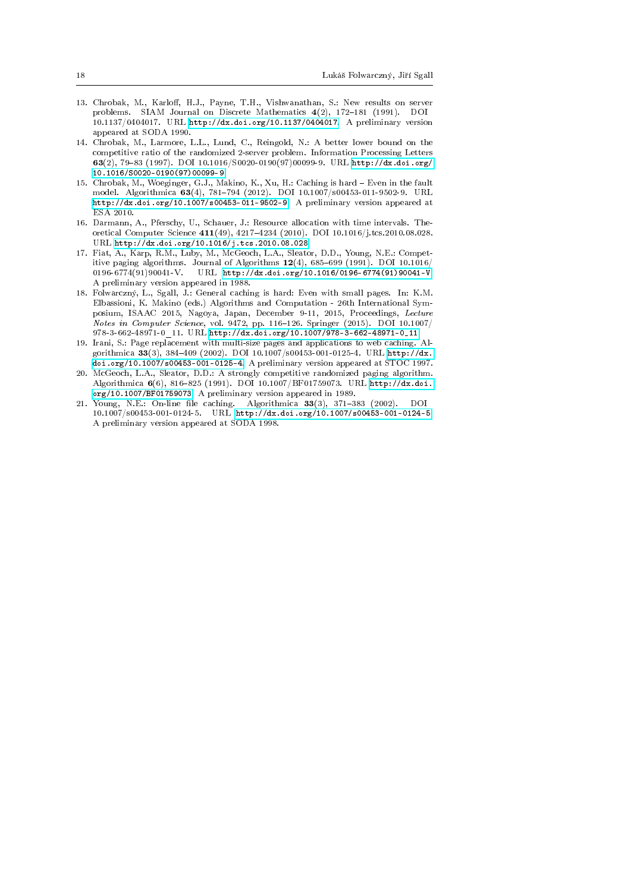- <span id="page-17-2"></span>13. Chrobak, M., Karloff, H.J., Payne, T.H., Vishwanathan, S.: New results on server problems. SIAM Journal on Discrete Mathematics 4(2), 172-181 (1991). DOI 10.1137/0404017. URL [http://dx.doi.org/10.1137/0404017.](http://dx.doi.org/10.1137/0404017) A preliminary version appeared at SODA 1990.
- <span id="page-17-7"></span>14. Chrobak, M., Larmore, L.L., Lund, C., Reingold, N.: A better lower bound on the competitive ratio of the randomized 2-server problem. Information Processing Letters 63(2), 7983 (1997). DOI 10.1016/S0020-0190(97)00099-9. URL [http://dx.doi.org/](http://dx.doi.org/10.1016/S0020-0190(97)00099-9) [10.1016/S0020-0190\(97\)00099-9](http://dx.doi.org/10.1016/S0020-0190(97)00099-9)
- <span id="page-17-3"></span>15. Chrobak, M., Woeginger, G.J., Makino, K., Xu, H.: Caching is hard Even in the fault model. Algorithmica 63(4), 781794 (2012). DOI 10.1007/s00453-011-9502-9. URL [http://dx.doi.org/10.1007/s00453-011-9502-9.](http://dx.doi.org/10.1007/s00453-011-9502-9) A preliminary version appeared at ESA 2010.
- <span id="page-17-4"></span>16. Darmann, A., Pferschy, U., Schauer, J.: Resource allocation with time intervals. Theoretical Computer Science 411(49), 42174234 (2010). DOI 10.1016/j.tcs.2010.08.028. URL <http://dx.doi.org/10.1016/j.tcs.2010.08.028>
- <span id="page-17-5"></span>17. Fiat, A., Karp, R.M., Luby, M., McGeoch, L.A., Sleator, D.D., Young, N.E.: Competitive paging algorithms. Journal of Algorithms  $12(4)$ , 685-699 (1991). DOI 10.1016/  $0196-6774(91)90041-V.$  URL [http://dx.doi.org/10.1016/0196-6774\(91\)90041-V.](http://dx.doi.org/10.1016/0196-6774(91)90041-V) A preliminary version appeared in 1988.
- <span id="page-17-8"></span>18. Folwarczný, L., Sgall, J.: General caching is hard: Even with small pages. In: K.M. Elbassioni, K. Makino (eds.) Algorithms and Computation - 26th International Symposium, ISAAC 2015, Nagoya, Japan, December 9-11, 2015, Proceedings, Lecture Notes in Computer Science, vol. 9472, pp. 116-126. Springer (2015).  $DOI$  10.1007/ 978-3-662-48971-0\_11. URL [http://dx.doi.org/10.1007/978-3-662-48971-0\\_11](http://dx.doi.org/10.1007/978-3-662-48971-0_11)
- <span id="page-17-0"></span>19. Irani, S.: Page replacement with multi-size pages and applications to web caching. Algorithmica 33(3), 384409 (2002). DOI 10.1007/s00453-001-0125-4. URL [http://dx.](http://dx.doi.org/10.1007/s00453-001-0125-4) [doi.org/10.1007/s00453-001-0125-4.](http://dx.doi.org/10.1007/s00453-001-0125-4) A preliminary version appeared at STOC 1997.
- <span id="page-17-6"></span>20. McGeoch, L.A., Sleator, D.D.: A strongly competitive randomized paging algorithm. Algorithmica 6(6), 816-825 (1991). DOI 10.1007/BF01759073. URL [http://dx.doi.](http://dx.doi.org/10.1007/BF01759073) [org/10.1007/BF01759073.](http://dx.doi.org/10.1007/BF01759073) A preliminary version appeared in 1989.
- <span id="page-17-1"></span>21. Young, N.E.: On-line file caching. Algorithmica 33(3), 371-383 (2002). DOI 10.1007/s00453-001-0124-5. URL [http://dx.doi.org/10.1007/s00453-001-0124-5.](http://dx.doi.org/10.1007/s00453-001-0124-5) A preliminary version appeared at SODA 1998.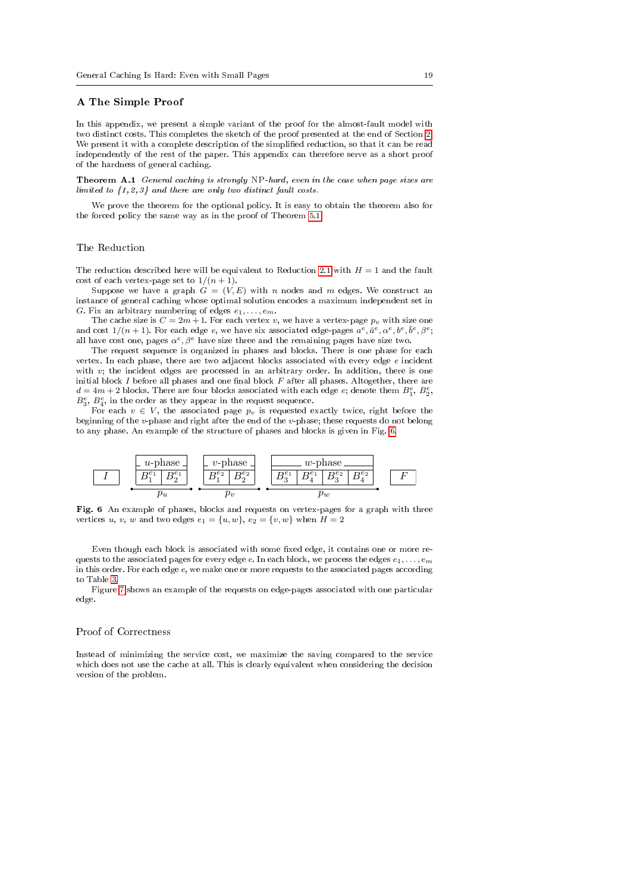#### <span id="page-18-0"></span>A The Simple Proof

In this appendix, we present a simple variant of the proof for the almost-fault model with two distinct costs. This completes the sketch of the proof presented at the end of Section [2.](#page-3-0) We present it with a complete description of the simplied reduction, so that it can be read independently of the rest of the paper. This appendix can therefore serve as a short proof of the hardness of general caching.

<span id="page-18-2"></span>Theorem A.1 General caching is strongly NP-hard, even in the case when page sizes are limited to  $\{1, 2, 3\}$  and there are only two distinct fault costs.

We prove the theorem for the optional policy. It is easy to obtain the theorem also for the forced policy the same way as in the proof of Theorem [5.1.](#page-15-1)

## The Reduction

The reduction described here will be equivalent to Reduction [2.1](#page-4-0) with  $H = 1$  and the fault cost of each vertex-page set to  $1/(n+1)$ .

Suppose we have a graph  $G = (V, E)$  with n nodes and m edges. We construct an instance of general caching whose optimal solution encodes a maximum independent set in G. Fix an arbitrary numbering of edges  $e_1, \ldots, e_m$ .

The cache size is  $C = 2m + 1$ . For each vertex v, we have a vertex-page  $p_v$  with size one and cost  $1/(n+1)$ . For each edge  $e,$  we have six associated edge-pages  $a^{\overline{e}}, \bar{a}^e, \alpha^e, b^e, \bar{b}^e, \beta^e;$ all have cost one, pages  $\alpha^e, \beta^e$  have size three and the remaining pages have size two.

The request sequence is organized in phases and blocks. There is one phase for each vertex. In each phase, there are two adjacent blocks associated with every edge e incident with  $v$ ; the incident edges are processed in an arbitrary order. In addition, there is one initial block I before all phases and one final block  $F$  after all phases. Altogether, there are  $d = 4m + 2$  blocks. There are four blocks associated with each edge  $e$ ; denote them  $B_1^e$ ,  $B_2^e$ ,  $B_3^e$ ,  $B_4^e$ , in the order as they appear in the request sequence.

For each  $v \in V$ , the associated page  $p_v$  is requested exactly twice, right before the beginning of the v-phase and right after the end of the v-phase; these requests do not belong to any phase. An example of the structure of phases and blocks is given in Fig. [6.](#page-18-1)



<span id="page-18-1"></span>Fig. 6 An example of phases, blocks and requests on vertex-pages for a graph with three vertices u, v, w and two edges  $e_1 = \{u, w\}$ ,  $e_2 = \{v, w\}$  when  $H = 2$ 

Even though each block is associated with some fixed edge, it contains one or more requests to the associated pages for every edge e. In each block, we process the edges  $e_1, \ldots, e_m$ in this order. For each edge e, we make one or more requests to the associated pages according to Table [3.](#page-19-0)

Figure [7](#page-19-1) shows an example of the requests on edge-pages associated with one particular edge.

### Proof of Correctness

Instead of minimizing the service cost, we maximize the saving compared to the service which does not use the cache at all. This is clearly equivalent when considering the decision version of the problem.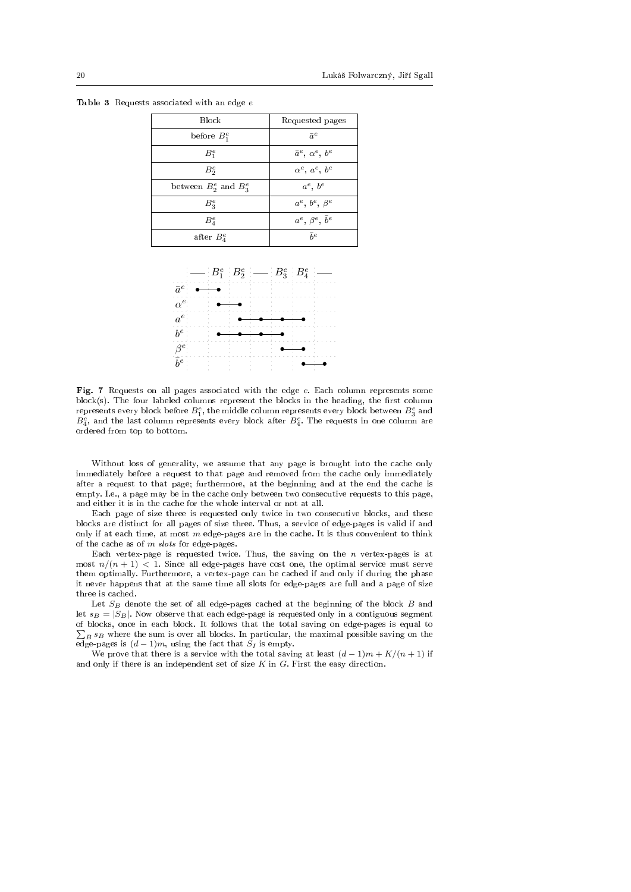| <b>Block</b>                | Requested pages                  |
|-----------------------------|----------------------------------|
| before $B_1^e$              | $\bar{a}^e$                      |
| $B_1^e$                     | $\bar{a}^e$ , $\alpha^e$ , $b^e$ |
| $B_2^e$                     | $\alpha^e$ , $a^e$ , $b^e$       |
| between $B_2^e$ and $B_3^e$ | $a^e$ , $b^e$                    |
| $B_2^e$                     | $a^e$ , $b^e$ , $\beta^e$        |
| $B_4^e$                     | $a^e$ , $\beta^e$ , $\bar{b}^e$  |
| after $B_4^e$               | $\bar{h}^e$                      |

<span id="page-19-0"></span>Table 3 Requests associated with an edge  $e$ 



<span id="page-19-1"></span>Fig. 7 Requests on all pages associated with the edge e. Each column represents some  $block(s)$ . The four labeled columns represent the blocks in the heading, the first column represents every block before  $B_1^e$ , the middle column represents every block between  $B_3^e$  and  $B_4^e$ , and the last column represents every block after  $B_4^e$ . The requests in one column are ordered from top to bottom.

Without loss of generality, we assume that any page is brought into the cache only immediately before a request to that page and removed from the cache only immediately after a request to that page; furthermore, at the beginning and at the end the cache is empty. I.e., a page may be in the cache only between two consecutive requests to this page, and either it is in the cache for the whole interval or not at all.

Each page of size three is requested only twice in two consecutive blocks, and these blocks are distinct for all pages of size three. Thus, a service of edge-pages is valid if and only if at each time, at most  $m$  edge-pages are in the cache. It is thus convenient to think of the cache as of  $m$  slots for edge-pages.

Each vertex-page is requested twice. Thus, the saving on the  $n$  vertex-pages is at most  $n/(n+1)$  < 1. Since all edge-pages have cost one, the optimal service must serve them optimally. Furthermore, a vertex-page can be cached if and only if during the phase it never happens that at the same time all slots for edge-pages are full and a page of size three is cached.

Let  $S_B$  denote the set of all edge-pages cached at the beginning of the block  $B$  and let  $s_B = |S_B|$ . Now observe that each edge-page is requested only in a contiguous segment of blocks, once in each block. It follows that the total saving on edge-pages is equal to  $\sum_{B} s_B$  where the sum is over all blocks. In particular, the maximal possible saving on the edge-pages is  $(d-1)m$ , using the fact that  $S_I$  is empty.

<span id="page-19-2"></span>We prove that there is a service with the total saving at least  $(d-1)m + K/(n+1)$  if and only if there is an independent set of size  $K$  in  $G$ . First the easy direction.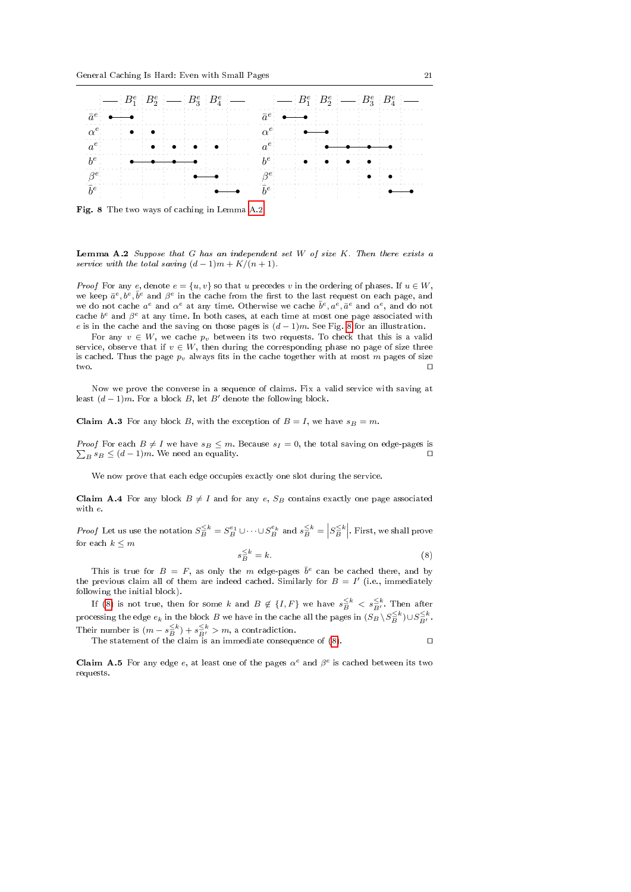

<span id="page-20-0"></span>Fig. 8 The two ways of caching in Lemma [A.2](#page-19-2)

**Lemma A.2** Suppose that G has an independent set W of size  $K$ . Then there exists a service with the total saving  $(d-1)m + K/(n+1)$ .

*Proof* For any e, denote  $e = \{u, v\}$  so that u precedes v in the ordering of phases. If  $u \in W$ , we keep  $\bar{a}^e, \bar{b}^e, \bar{b}^e$  and  $\beta^e$  in the cache from the first to the last request on each page, and we do not cache  $a^e$  and  $\alpha^e$  at any time. Otherwise we cache  $\bar{b}^e, a^e, \bar{a}^e$  and  $\alpha^e$ , and do not cache  $b^e$  and  $\beta^e$  at any time. In both cases, at each time at most one page associated with e is in the cache and the saving on those pages is  $(d-1)m$ . See Fig. [8](#page-20-0) for an illustration.

For any  $v \in W$ , we cache  $p_v$  between its two requests. To check that this is a valid service, observe that if  $v \in W$ , then during the corresponding phase no page of size three is cached. Thus the page  $p_v$  always fits in the cache together with at most m pages of size two.  $\square$ 

Now we prove the converse in a sequence of claims. Fix a valid service with saving at least  $(d-1)m$ . For a block B, let B' denote the following block.

**Claim A.3** For any block B, with the exception of  $B = I$ , we have  $s_B = m$ .

 $\sum_B s_B \leq (d-1)m$ . We need an equality. *Proof* For each  $B \neq I$  we have  $s_B \leq m$ . Because  $s_I = 0$ , the total saving on edge-pages is

We now prove that each edge occupies exactly one slot during the service.

<span id="page-20-1"></span>s

**Claim A.4** For any block  $B \neq I$  and for any e,  $S_B$  contains exactly one page associated with e.

*Proof* Let us use the notation  $S_B^{\leq k} = S_B^{e_1} \cup \cdots \cup S_B^{e_k}$  and  $s_B^{\leq k} = \left| S_B^{\leq k} \right|$ . First, we shall prove for each  $k \leq m$ 

$$
\frac{\leq k}{B} = k. \tag{8}
$$

This is true for  $B = F$ , as only the m edge-pages  $\bar{b}^e$  can be cached there, and by the previous claim all of them are indeed cached. Similarly for  $B = I'$  (i.e., immediately following the initial block).

If [\(8\)](#page-20-1) is not true, then for some  $k$  and  $B \notin \{I, F\}$  we have  $s_B^{\leq k} < s_{B'}^{\leq k}$ . Then after processing the edge  $e_k$  in the block  $B$  we have in the cache all the pages in  $(S_B \setminus S_B^{\le k}) \cup S_B^{\le k}$ Their number is  $(m - s_B^{-k}) + s_{B'}^{-k} > m$ , a contradiction.<br>The statement of the claim is an immediate consequence of [\(8\)](#page-20-1).

**Claim A.5** For any edge e, at least one of the pages  $\alpha^e$  and  $\beta^e$  is cached between its two requests.